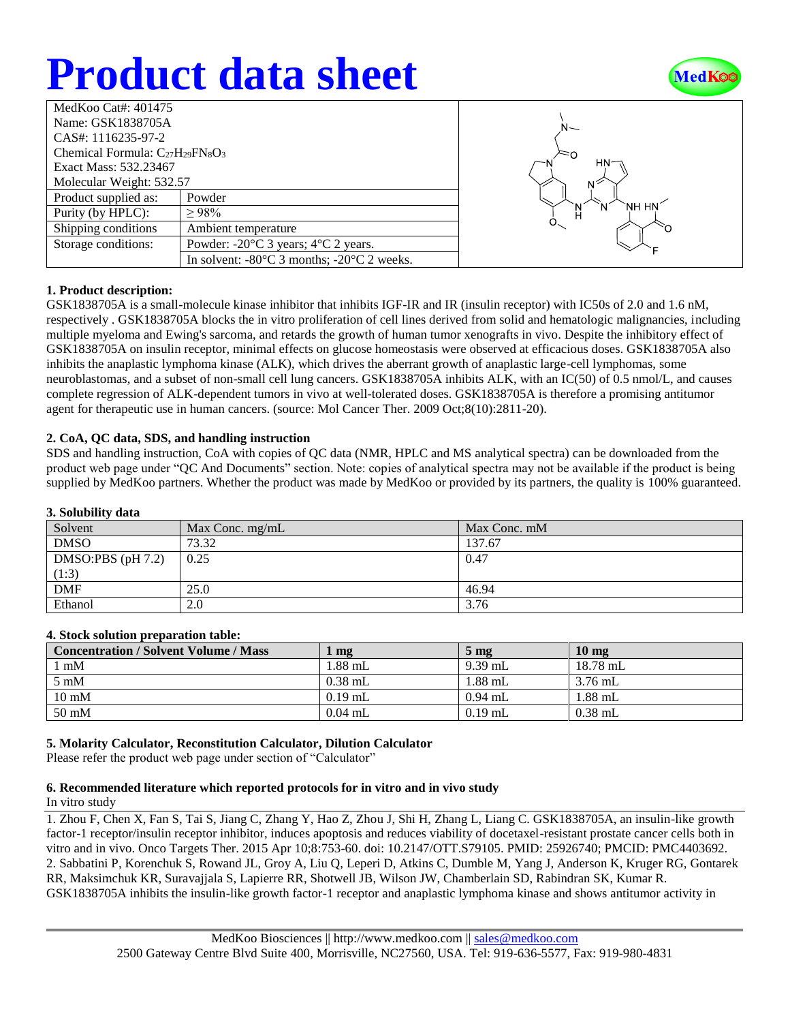# **Product data sheet**



| MedKoo Cat#: $401475$                   |                                                                |  |  |  |
|-----------------------------------------|----------------------------------------------------------------|--|--|--|
| Name: GSK1838705A                       |                                                                |  |  |  |
| CAS#: 1116235-97-2                      |                                                                |  |  |  |
| Chemical Formula: $C_{27}H_{29}FN_8O_3$ |                                                                |  |  |  |
| Exact Mass: 532.23467                   |                                                                |  |  |  |
| Molecular Weight: 532.57                |                                                                |  |  |  |
| Product supplied as:                    | Powder                                                         |  |  |  |
| Purity (by HPLC):                       | >98%                                                           |  |  |  |
| Shipping conditions                     | Ambient temperature                                            |  |  |  |
| Storage conditions:                     | Powder: $-20^{\circ}$ C 3 years; $4^{\circ}$ C 2 years.        |  |  |  |
|                                         | In solvent: $-80^{\circ}$ C 3 months; $-20^{\circ}$ C 2 weeks. |  |  |  |



## **1. Product description:**

GSK1838705A is a small-molecule kinase inhibitor that inhibits IGF-IR and IR (insulin receptor) with IC50s of 2.0 and 1.6 nM, respectively . GSK1838705A blocks the in vitro proliferation of cell lines derived from solid and hematologic malignancies, including multiple myeloma and Ewing's sarcoma, and retards the growth of human tumor xenografts in vivo. Despite the inhibitory effect of GSK1838705A on insulin receptor, minimal effects on glucose homeostasis were observed at efficacious doses. GSK1838705A also inhibits the anaplastic lymphoma kinase (ALK), which drives the aberrant growth of anaplastic large-cell lymphomas, some neuroblastomas, and a subset of non-small cell lung cancers. GSK1838705A inhibits ALK, with an IC(50) of 0.5 nmol/L, and causes complete regression of ALK-dependent tumors in vivo at well-tolerated doses. GSK1838705A is therefore a promising antitumor agent for therapeutic use in human cancers. (source: Mol Cancer Ther. 2009 Oct;8(10):2811-20).

## **2. CoA, QC data, SDS, and handling instruction**

SDS and handling instruction, CoA with copies of QC data (NMR, HPLC and MS analytical spectra) can be downloaded from the product web page under "QC And Documents" section. Note: copies of analytical spectra may not be available if the product is being supplied by MedKoo partners. Whether the product was made by MedKoo or provided by its partners, the quality is 100% guaranteed.

| э. эоционцу часа    |                   |              |  |  |  |
|---------------------|-------------------|--------------|--|--|--|
| Solvent             | Max Conc. $mg/mL$ | Max Conc. mM |  |  |  |
| <b>DMSO</b>         | 73.32             | 137.67       |  |  |  |
| DMSO:PBS $(pH 7.2)$ | 0.25              | 0.47         |  |  |  |
| (1:3)               |                   |              |  |  |  |
| <b>DMF</b>          | 25.0              | 46.94        |  |  |  |
| Ethanol             | 2.0               | 3.76         |  |  |  |

## **3. Solubility data**

## **4. Stock solution preparation table:**

| <b>Concentration / Solvent Volume / Mass</b> | mg        | $5 \text{ mg}$ | $10 \text{ mg}$ |
|----------------------------------------------|-----------|----------------|-----------------|
| l mM                                         | $1.88$ mL | $9.39$ mL      | 18.78 mL        |
| $5 \text{ mM}$                               | $0.38$ mL | $1.88$ mL      | $3.76$ mL       |
| $10 \text{ mM}$                              | $0.19$ mL | $0.94$ mL      | 1.88 mL         |
| $50 \text{ mM}$                              | $0.04$ mL | $0.19$ mL      | $0.38$ mL       |

## **5. Molarity Calculator, Reconstitution Calculator, Dilution Calculator**

Please refer the product web page under section of "Calculator"

## **6. Recommended literature which reported protocols for in vitro and in vivo study**

#### In vitro study

1. Zhou F, Chen X, Fan S, Tai S, Jiang C, Zhang Y, Hao Z, Zhou J, Shi H, Zhang L, Liang C. GSK1838705A, an insulin-like growth factor-1 receptor/insulin receptor inhibitor, induces apoptosis and reduces viability of docetaxel-resistant prostate cancer cells both in vitro and in vivo. Onco Targets Ther. 2015 Apr 10;8:753-60. doi: 10.2147/OTT.S79105. PMID: 25926740; PMCID: PMC4403692. 2. Sabbatini P, Korenchuk S, Rowand JL, Groy A, Liu Q, Leperi D, Atkins C, Dumble M, Yang J, Anderson K, Kruger RG, Gontarek RR, Maksimchuk KR, Suravajjala S, Lapierre RR, Shotwell JB, Wilson JW, Chamberlain SD, Rabindran SK, Kumar R. GSK1838705A inhibits the insulin-like growth factor-1 receptor and anaplastic lymphoma kinase and shows antitumor activity in